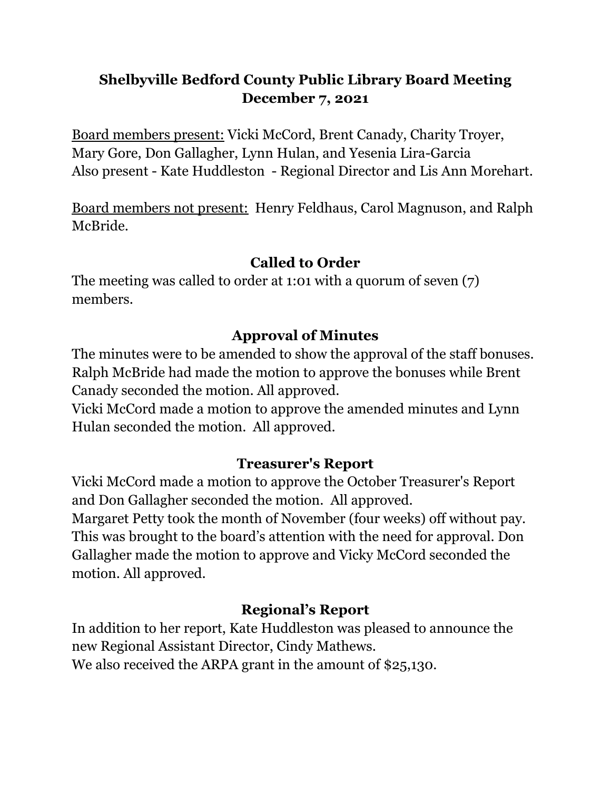# **Shelbyville Bedford County Public Library Board Meeting December 7, 2021**

Board members present: Vicki McCord, Brent Canady, Charity Troyer, Mary Gore, Don Gallagher, Lynn Hulan, and Yesenia Lira-Garcia Also present - Kate Huddleston - Regional Director and Lis Ann Morehart.

Board members not present: Henry Feldhaus, Carol Magnuson, and Ralph McBride.

## **Called to Order**

The meeting was called to order at 1:01 with a quorum of seven (7) members.

## **Approval of Minutes**

The minutes were to be amended to show the approval of the staff bonuses. Ralph McBride had made the motion to approve the bonuses while Brent Canady seconded the motion. All approved.

Vicki McCord made a motion to approve the amended minutes and Lynn Hulan seconded the motion. All approved.

## **Treasurer's Report**

Vicki McCord made a motion to approve the October Treasurer's Report and Don Gallagher seconded the motion. All approved.

Margaret Petty took the month of November (four weeks) off without pay. This was brought to the board's attention with the need for approval. Don Gallagher made the motion to approve and Vicky McCord seconded the motion. All approved.

# **Regional's Report**

In addition to her report, Kate Huddleston was pleased to announce the new Regional Assistant Director, Cindy Mathews. We also received the ARPA grant in the amount of \$25,130.